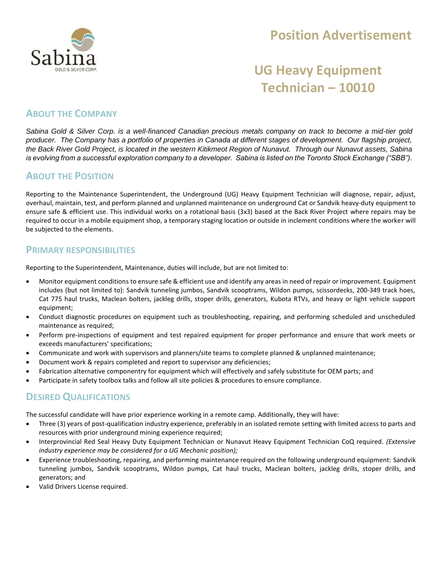

## **Position Advertisement**

# **UG Heavy Equipment Technician – 10010**

### **ABOUT THE COMPANY**

*Sabina Gold & Silver Corp. is a well-financed Canadian precious metals company on track to become a mid-tier gold producer. The Company has a portfolio of properties in Canada at different stages of development. Our flagship project, the Back River Gold Project, is located in the western Kitikmeot Region of Nunavut. Through our Nunavut assets, Sabina is evolving from a successful exploration company to a developer. Sabina is listed on the Toronto Stock Exchange ("SBB").*

### **ABOUT THE POSITION**

Reporting to the Maintenance Superintendent, the Underground (UG) Heavy Equipment Technician will diagnose, repair, adjust, overhaul, maintain, test, and perform planned and unplanned maintenance on underground Cat or Sandvik heavy-duty equipment to ensure safe & efficient use. This individual works on a rotational basis (3x3) based at the Back River Project where repairs may be required to occur in a mobile equipment shop, a temporary staging location or outside in inclement conditions where the worker will be subjected to the elements.

#### **PRIMARY RESPONSIBILITIES**

Reporting to the Superintendent, Maintenance, duties will include, but are not limited to:

- Monitor equipment conditions to ensure safe & efficient use and identify any areas in need of repair or improvement. Equipment includes (but not limited to): Sandvik tunneling jumbos, Sandvik scooptrams, Wildon pumps, scissordecks, 200‐349 track hoes, Cat 775 haul trucks, Maclean bolters, jackleg drills, stoper drills, generators, Kubota RTVs, and heavy or light vehicle support equipment;
- Conduct diagnostic procedures on equipment such as troubleshooting, repairing, and performing scheduled and unscheduled maintenance as required;
- Perform pre-inspections of equipment and test repaired equipment for proper performance and ensure that work meets or exceeds manufacturers' specifications;
- Communicate and work with supervisors and planners/site teams to complete planned & unplanned maintenance;
- Document work & repairs completed and report to supervisor any deficiencies;
- Fabrication alternative componentry for equipment which will effectively and safely substitute for OEM parts; and
- Participate in safety toolbox talks and follow all site policies & procedures to ensure compliance.

### **DESIRED QUALIFICATIONS**

The successful candidate will have prior experience working in a remote camp. Additionally, they will have:

- Three (3) years of post-qualification industry experience, preferably in an isolated remote setting with limited access to parts and resources with prior underground mining experience required;
- Interprovincial Red Seal Heavy Duty Equipment Technician or Nunavut Heavy Equipment Technician CoQ required. *(Extensive industry experience may be considered for a UG Mechanic position);*
- Experience troubleshooting, repairing, and performing maintenance required on the following underground equipment: Sandvik tunneling jumbos, Sandvik scooptrams, Wildon pumps, Cat haul trucks, Maclean bolters, jackleg drills, stoper drills, and generators; and
- Valid Drivers License required.